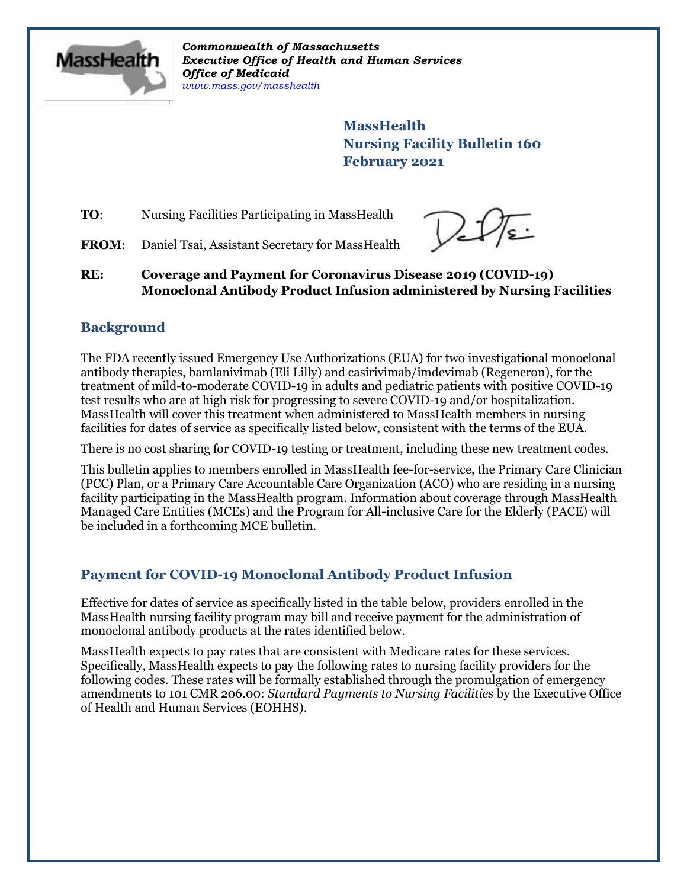

*Commonwealth of Massachusetts Executive Office of Health and Human Services Office of Medicaid [www.mass.gov/masshealth](http://www.mass.gov/masshealth)*

> **MassHealth Nursing Facility Bulletin 160 February 2021**

**TO:** Nursing Facilities Participating in MassHealth

FROM: Daniel Tsai, Assistant Secretary for MassHealth

**RE: Coverage and Payment for Coronavirus Disease 2019 (COVID-19) Monoclonal Antibody Product Infusion administered by Nursing Facilities**

# **Background**

The FDA recently issued Emergency Use Authorizations (EUA) for two investigational monoclonal antibody therapies, bamlanivimab (Eli Lilly) and casirivimab/imdevimab (Regeneron), for the treatment of mild-to-moderate COVID-19 in adults and pediatric patients with positive COVID-19 test results who are at high risk for progressing to severe COVID-19 and/or hospitalization. MassHealth will cover this treatment when administered to MassHealth members in nursing facilities for dates of service as specifically listed below, consistent with the terms of the EUA.

There is no cost sharing for COVID-19 testing or treatment, including these new treatment codes.

This bulletin applies to members enrolled in MassHealth fee-for-service, the Primary Care Clinician (PCC) Plan, or a Primary Care Accountable Care Organization (ACO) who are residing in a nursing facility participating in the MassHealth program. Information about coverage through MassHealth Managed Care Entities (MCEs) and the Program for All-inclusive Care for the Elderly (PACE) will be included in a forthcoming MCE bulletin.

# **Payment for COVID-19 Monoclonal Antibody Product Infusion**

Effective for dates of service as specifically listed in the table below, providers enrolled in the MassHealth nursing facility program may bill and receive payment for the administration of monoclonal antibody products at the rates identified below.

MassHealth expects to pay rates that are consistent with Medicare rates for these services. Specifically, MassHealth expects to pay the following rates to nursing facility providers for the following codes. These rates will be formally established through the promulgation of emergency amendments to 101 CMR 206.00: *Standard Payments to Nursing Facilities* by the Executive Office of Health and Human Services (EOHHS).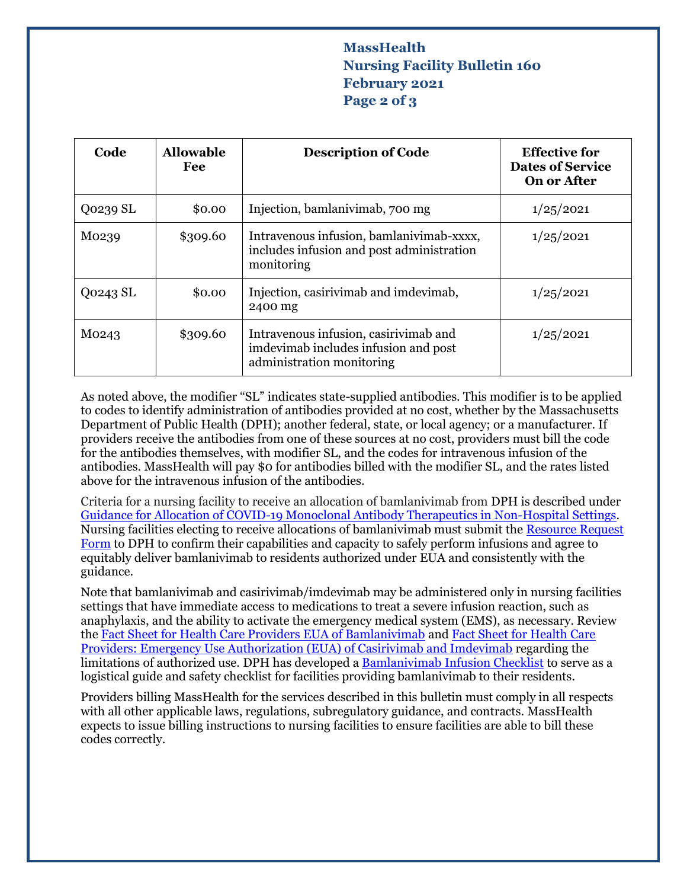# **MassHealth Nursing Facility Bulletin 160 February 2021 Page 2 of 3**

| Code     | <b>Allowable</b><br>Fee | <b>Description of Code</b>                                                                                 | <b>Effective for</b><br><b>Dates of Service</b><br>On or After |
|----------|-------------------------|------------------------------------------------------------------------------------------------------------|----------------------------------------------------------------|
| Q0239 SL | \$0.00                  | Injection, bamlanivimab, 700 mg                                                                            | 1/25/2021                                                      |
| M0239    | \$309.60                | Intravenous infusion, bamlanivimab-xxxx,<br>includes infusion and post administration<br>monitoring        | 1/25/2021                                                      |
| Q0243 SL | \$0.00                  | Injection, casirivimab and imdevimab,<br>2400 mg                                                           | 1/25/2021                                                      |
| M0243    | \$309.60                | Intravenous infusion, casirivimab and<br>imdevimab includes infusion and post<br>administration monitoring | 1/25/2021                                                      |

As noted above, the modifier "SL" indicates state-supplied antibodies. This modifier is to be applied to codes to identify administration of antibodies provided at no cost, whether by the Massachusetts Department of Public Health (DPH); another federal, state, or local agency; or a manufacturer. If providers receive the antibodies from one of these sources at no cost, providers must bill the code for the antibodies themselves, with modifier SL, and the codes for intravenous infusion of the antibodies. MassHealth will pay \$0 for antibodies billed with the modifier SL, and the rates listed above for the intravenous infusion of the antibodies.

Criteria for a nursing facility to receive an allocation of bamlanivimab from DPH is described under [Guidance for Allocation of COVID-19 Monoclonal Antibody Therapeutics in Non-Hospital Settings.](https://www.mass.gov/doc/guidance-for-allocation-of-covid-19-monoclonal-antibody-therapeutics-in-non-hospital-settings/download) Nursing facilities electing to receive allocations of bamlanivimab must submit the [Resource Request](https://www.mass.gov/doc/bamlanivimab-resource-request-form/download)  [Form](https://www.mass.gov/doc/bamlanivimab-resource-request-form/download) to DPH to confirm their capabilities and capacity to safely perform infusions and agree to equitably deliver bamlanivimab to residents authorized under EUA and consistently with the guidance.

Note that bamlanivimab and casirivimab/imdevimab may be administered only in nursing facilities settings that have immediate access to medications to treat a severe infusion reaction, such as anaphylaxis, and the ability to activate the emergency medical system (EMS), as necessary. Review the [Fact Sheet for Health Care Providers EUA of Bamlanivimab](http://pi.lilly.com/eua/bamlanivimab-eua-factsheet-hcp.pdf) an[d Fact Sheet for Health Care](https://www.fda.gov/media/143892/download)  [Providers: Emergency Use Authorization \(EUA\) of Casirivimab and Imdevimab](https://www.fda.gov/media/143892/download) regarding the limitations of authorized use. DPH has developed [a Bamlanivimab Infusion Checklist](https://www.mass.gov/doc/bamlanivimab-infusion-checklist/download) to serve as a logistical guide and safety checklist for facilities providing bamlanivimab to their residents.

Providers billing MassHealth for the services described in this bulletin must comply in all respects with all other applicable laws, regulations, subregulatory guidance, and contracts. MassHealth expects to issue billing instructions to nursing facilities to ensure facilities are able to bill these codes correctly.